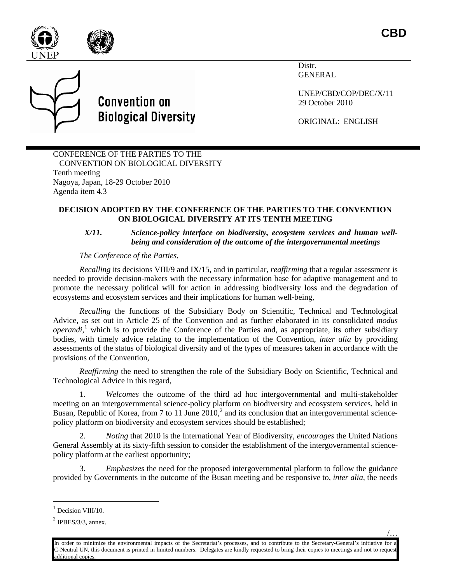



**CBD**



Distr. GENERAL

UNEP/CBD/COP/DEC/X/11 29 October 2010

ORIGINAL: ENGLISH

CONFERENCE OF THE PARTIES TO THE CONVENTION ON BIOLOGICAL DIVERSITY Tenth meeting Nagoya, Japan, 18-29 October 2010 Agenda item 4.3

## **DECISION ADOPTED BY THE CONFERENCE OF THE PARTIES TO THE CONVENTION ON BIOLOGICAL DIVERSITY AT ITS TENTH MEETING**

## *X/11. Science-policy interface on biodiversity, ecosystem services and human wellbeing and consideration of the outcome of the intergovernmental meetings*

*The Conference of the Parties,* 

*Recalling* its decisions VIII/9 and IX/15, and in particular, *reaffirming* that a regular assessment is needed to provide decision-makers with the necessary information base for adaptive management and to promote the necessary political will for action in addressing biodiversity loss and the degradation of ecosystems and ecosystem services and their implications for human well-being,

*Recalling* the functions of the Subsidiary Body on Scientific, Technical and Technological Advice, as set out in Article 25 of the Convention and as further elaborated in its consolidated *modus operandi*, [1](#page-0-0) which is to provide the Conference of the Parties and, as appropriate, its other subsidiary bodies, with timely advice relating to the implementation of the Convention, *inter alia* by providing assessments of the status of biological diversity and of the types of measures taken in accordance with the provisions of the Convention,

*Reaffirming* the need to strengthen the role of the Subsidiary Body on Scientific, Technical and Technological Advice in this regard,

1. *Welcomes* the outcome of the third ad hoc intergovernmental and multi-stakeholder meeting on an intergovernmental science-policy platform on biodiversity and ecosystem services, held in Busan, Republic of Korea, from 7 to 11 June  $2010<sup>2</sup>$  $2010<sup>2</sup>$  and its conclusion that an intergovernmental sciencepolicy platform on biodiversity and ecosystem services should be established;

2. *Noting* that 2010 is the International Year of Biodiversity, *encourages* the United Nations General Assembly at its sixty-fifth session to consider the establishment of the intergovernmental sciencepolicy platform at the earliest opportunity;

3. *Emphasizes* the need for the proposed intergovernmental platform to follow the guidance provided by Governments in the outcome of the Busan meeting and be responsive to, *inter alia*, the needs

<span id="page-0-0"></span> $1$  Decision VIII/10.

<span id="page-0-1"></span> $<sup>2</sup>$  IPBES/3/3, annex.</sup>

In order to minimize the environmental impacts of the Secretariat's processes, and to contribute to the Secretary-General's initiative for a C-Neutral UN, this document is printed in limited numbers. Delegates are kindly requested to bring their copies to meetings and not to request additional copies.